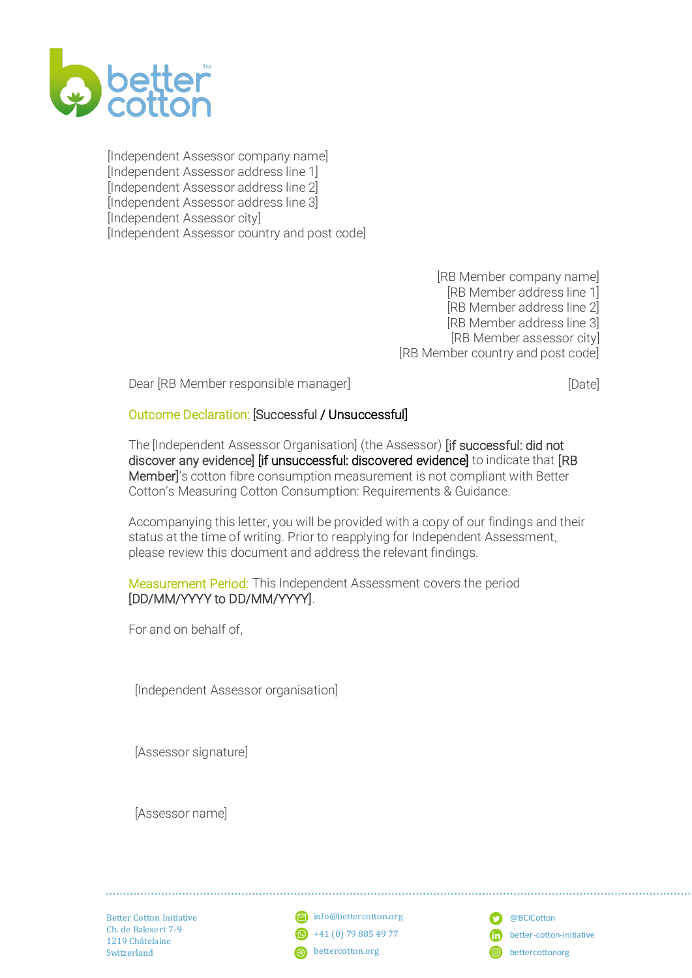

[Independent Assessor company name] [Independent Assessor address line 1] [Independent Assessor address line 2] [Independent Assessor address line 3] [Independent Assessor city] [Independent Assessor country and post code]

> [RB Member company name] [RB Member address line 1] [RB Member address line 2] [RB Member address line 3] [RB Member assessor city] [RB Member country and post code]

Dear [RB Member responsible manager]

[Date]

### Outcome Declaration: [Successful / Unsuccessful]

The [Independent Assessor Organisation] (the Assessor) [if successful: did not discover any evidence] [if unsuccessful: discovered evidence] to indicate that [RB Member]'s cotton fibre consumption measurement is not compliant with Better Cotton's Measuring Cotton Consumption: Requirements & Guidance.

Accompanying this letter, you will be provided with a copy of our findings and their status at the time of writing. Prior to reapplying for Independent Assessment, please review this document and address the relevant findings.

#### Measurement Period: This Independent Assessment covers the period [DD/MM/YYYY to DD/MM/YYYY].

For and on behalf of,

[Independent Assessor organisation]

[Assessor signature]

[Assessor name]

Better Cotton Initiative Ch. de Balexert 7-9 1219 Châtelaine Switzerland

info@bettercotton.org  $\bigodot$  +41 (0) 79 885 49 77 settercotton.org

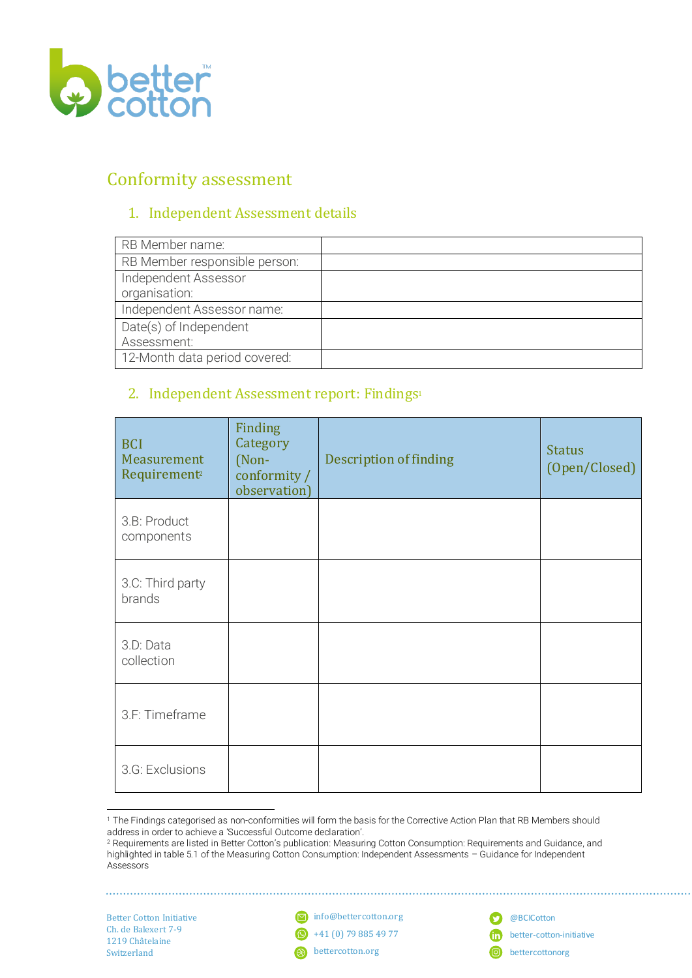

# Conformity assessment

# 1. Independent Assessment details

| RB Member name:               |  |
|-------------------------------|--|
| RB Member responsible person: |  |
| Independent Assessor          |  |
| organisation:                 |  |
| Independent Assessor name:    |  |
| Date(s) of Independent        |  |
| Assessment:                   |  |
| 12-Month data period covered: |  |

## 2. Independent Assessment report: Findings<sup>1</sup>

| <b>BCI</b><br>Measurement<br>Requirement <sup>2</sup> | Finding<br>Category<br>(Non-<br>conformity /<br>observation) | Description of finding | <b>Status</b><br>(Open/Closed) |
|-------------------------------------------------------|--------------------------------------------------------------|------------------------|--------------------------------|
| 3.B: Product<br>components                            |                                                              |                        |                                |
| 3.C: Third party<br>brands                            |                                                              |                        |                                |
| 3.D: Data<br>collection                               |                                                              |                        |                                |
| 3.F: Timeframe                                        |                                                              |                        |                                |
| 3.G: Exclusions                                       |                                                              |                        |                                |

<sup>&</sup>lt;sup>1</sup> The Findings categorised as non-conformities will form the basis for the Corrective Action Plan that RB Members should address in order to achieve a 'Successful Outcome declaration'.

info@bettercotton.org  $\bigodot$  +41 (0) 79 885 49 77

settercotton.org

**D** @BCICotton better-cotton-initiative **b**ettercottonorg

<sup>2</sup> Requirements are listed in Better Cotton's publication: [Measuring Cotton Consumption: Requirements and Guidance,](https://bettercotton.org/wp-content/uploads/2020/10/BCI-Cotton-Consumption-Requirements-Guidance_Oct-2020.pdf) and highlighted in table 5.1 of the Measuring Cotton Consumption: Independent Assessments – Guidance for Independent Assessors